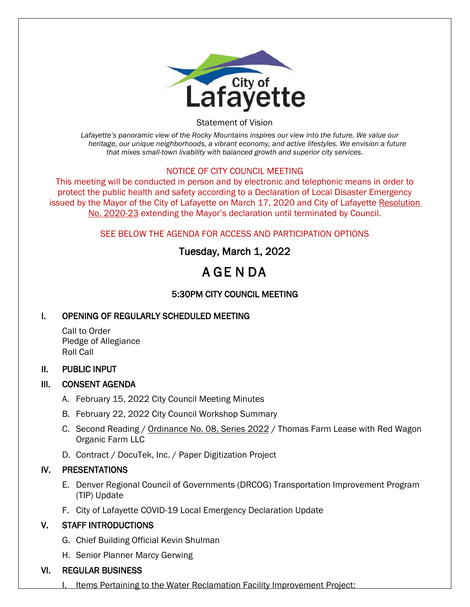

Statement of Vision

*Lafayette's panoramic view of the Rocky Mountains inspires our view into the future. We value our heritage, our unique neighborhoods, a vibrant economy, and active lifestyles. We envision a future that mixes small-town livability with balanced growth and superior city services.*

#### NOTICE OF CITY COUNCIL MEETING

This meeting will be conducted in person and by electronic and telephonic means in order to protect the public health and safety according to a Declaration of Local Disaster Emergency issued by the Mayor of the City of Lafayette on March 17, 2020 and City of Lafayette Resolution No. 2020-23 extending the Mayor's declaration until terminated by Council.

### SEE BELOW THE AGENDA FOR ACCESS AND PARTICIPATION OPTIONS

## Tuesday, March 1, 2022

# A GE N DA

## 5:30PM CITY COUNCIL MEETING

### I. OPENING OF REGULARLY SCHEDULED MEETING

Call to Order Pledge of Allegiance Roll Call

#### II. PUBLIC INPUT

### III. CONSENT AGENDA

- A. February 15, 2022 City Council Meeting Minutes
- B. February 22, 2022 City Council Workshop Summary
- C. Second Reading / Ordinance No. 08, Series 2022 / Thomas Farm Lease with Red Wagon Organic Farm LLC
- D. Contract / DocuTek, Inc. / Paper Digitization Project

### IV. PRESENTATIONS

- E. Denver Regional Council of Governments (DRCOG) Transportation Improvement Program (TIP) Update
- F. City of Lafayette COVID-19 Local Emergency Declaration Update

### V. STAFF INTRODUCTIONS

- G. Chief Building Official Kevin Shulman
- H. Senior Planner Marcy Gerwing

### VI. REGULAR BUSINESS

Items Pertaining to the Water Reclamation Facility Improvement Project: